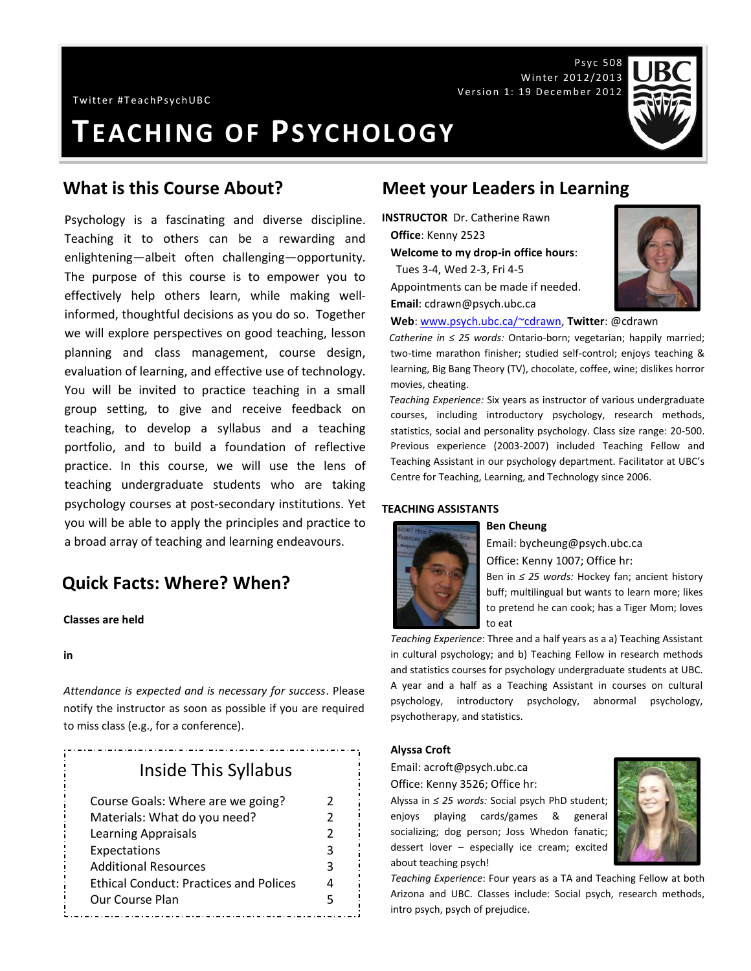Twitter #TeachPsychUBC

**TEACHING OF PSYCHOLOGY**

Psychology is a fascinating and diverse discipline. Teaching it to others can be a rewarding and enlightening—albeit often challenging—opportunity. The purpose of this course is to empower you to effectively help others learn, while making wellinformed, thoughtful decisions as you do so. Together we will explore perspectives on good teaching, lesson planning and class management, course design, evaluation of learning, and effective use of technology. You will be invited to practice teaching in a small group setting, to give and receive feedback on teaching, to develop a syllabus and a teaching portfolio, and to build a foundation of reflective practice. In this course, we will use the lens of teaching undergraduate students who are taking psychology courses at post-secondary institutions. Yet you will be able to apply the principles and practice to a broad array of teaching and learning endeavours.

# **Quick Facts: Where? When?**

### **Classes are held**

#### **in**

*Attendance is expected and is necessary for success*. Please notify the instructor as soon as possible if you are required to miss class (e.g., for a conference).

# Inside This Syllabus

| Course Goals: Where are we going?             | 2 |
|-----------------------------------------------|---|
| Materials: What do you need?                  | 2 |
| <b>Learning Appraisals</b>                    | 2 |
| Expectations                                  | 3 |
| <b>Additional Resources</b>                   | 3 |
| <b>Ethical Conduct: Practices and Polices</b> | Δ |
| Our Course Plan                               | 5 |

# **What is this Course About? Meet your Leaders in Learning**

**INSTRUCTOR** Dr. Catherine Rawn **Office**: Kenny 2523 **Welcome to my drop-in office hours**:

 Tues 3-4, Wed 2-3, Fri 4-5 Appointments can be made if needed. **Email**: cdrawn@psych.ubc.ca



**Web**: [www.psych.ubc.ca/~cdrawn,](http://www.psych.ubc.ca/~cdrawn) **Twitter**: @cdrawn

*Catherine in ≤ 25 words:* Ontario-born; vegetarian; happily married; two-time marathon finisher; studied self-control; enjoys teaching & learning, Big Bang Theory (TV), chocolate, coffee, wine; dislikes horror movies, cheating.

*Teaching Experience:* Six years as instructor of various undergraduate courses, including introductory psychology, research methods, statistics, social and personality psychology. Class size range: 20-500. Previous experience (2003-2007) included Teaching Fellow and Teaching Assistant in our psychology department. Facilitator at UBC's Centre for Teaching, Learning, and Technology since 2006.

### **TEACHING ASSISTANTS**



#### **Ben Cheung**

Email: bycheung@psych.ubc.ca Office: Kenny 1007; Office hr:

Ben in *≤ 25 words:* Hockey fan; ancient history buff; multilingual but wants to learn more; likes to pretend he can cook; has a Tiger Mom; loves to eat

*Teaching Experience*: Three and a half years as a a) Teaching Assistant in cultural psychology; and b) Teaching Fellow in research methods and statistics courses for psychology undergraduate students at UBC. A year and a half as a Teaching Assistant in courses on cultural psychology, introductory psychology, abnormal psychology, psychotherapy, and statistics.

### **Alyssa Croft**

Email: acroft@psych.ubc.ca Office: Kenny 3526; Office hr:

Alyssa in *≤ 25 words:* Social psych PhD student; enjoys playing cards/games & general socializing; dog person; Joss Whedon fanatic; dessert lover – especially ice cream; excited about teaching psych!



*Teaching Experience*: Four years as a TA and Teaching Fellow at both Arizona and UBC. Classes include: Social psych, research methods, intro psych, psych of prejudice.



Psyc 508

Winter 2012/2013

Version 1: 19 December 2012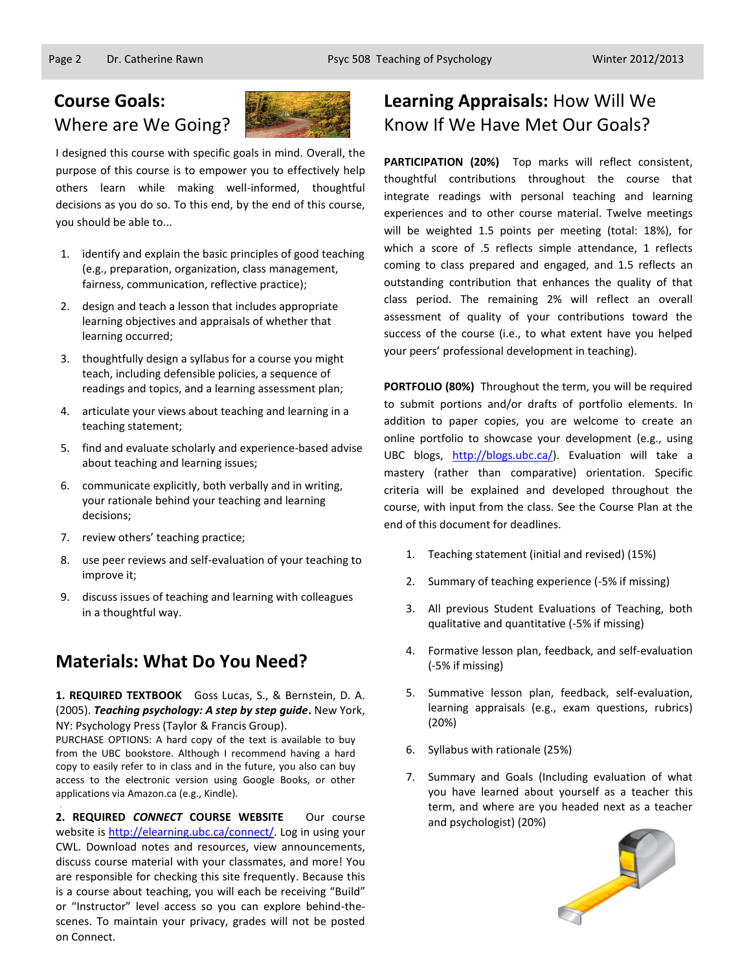

I designed this course with specific goals in mind. Overall, the purpose of this course is to empower you to effectively help others learn while making well-informed, thoughtful decisions as you do so. To this end, by the end of this course, you should be able to...

- 1. identify and explain the basic principles of good teaching (e.g., preparation, organization, class management, fairness, communication, reflective practice);
- 2. design and teach a lesson that includes appropriate learning objectives and appraisals of whether that learning occurred;
- 3. thoughtfully design a syllabus for a course you might teach, including defensible policies, a sequence of readings and topics, and a learning assessment plan;
- 4. articulate your views about teaching and learning in a teaching statement;
- 5. find and evaluate scholarly and experience-based advise about teaching and learning issues;
- 6. communicate explicitly, both verbally and in writing, your rationale behind your teaching and learning decisions;
- 7. review others' teaching practice;

.

- 8. use peer reviews and self-evaluation of your teaching to improve it;
- 9. discuss issues of teaching and learning with colleagues in a thoughtful way.

# **Materials: What Do You Need?**

**1. REQUIRED TEXTBOOK** Goss Lucas, S., & Bernstein, D. A. (2005). *Teaching psychology: A step by step guide***.** New York, NY: Psychology Press (Taylor & Francis Group).

PURCHASE OPTIONS: A hard copy of the text is available to buy from the UBC bookstore. Although I recommend having a hard copy to easily refer to in class and in the future, you also can buy access to the electronic version using Google Books, or other applications via Amazon.ca (e.g., Kindle).

**2. REQUIRED** *CONNECT* **COURSE WEBSITE** Our course website i[s http://elearning.ubc.ca/connect/.](http://elearning.ubc.ca/connect/) Log in using your CWL. Download notes and resources, view announcements, discuss course material with your classmates, and more! You are responsible for checking this site frequently. Because this is a course about teaching, you will each be receiving "Build" or "Instructor" level access so you can explore behind-thescenes. To maintain your privacy, grades will not be posted on Connect.

# **Learning Appraisals:** How Will We Know If We Have Met Our Goals?

**PARTICIPATION (20%)** Top marks will reflect consistent, thoughtful contributions throughout the course that integrate readings with personal teaching and learning experiences and to other course material. Twelve meetings will be weighted 1.5 points per meeting (total: 18%), for which a score of .5 reflects simple attendance, 1 reflects coming to class prepared and engaged, and 1.5 reflects an outstanding contribution that enhances the quality of that class period. The remaining 2% will reflect an overall assessment of quality of your contributions toward the success of the course (i.e., to what extent have you helped your peers' professional development in teaching).

**PORTFOLIO (80%)** Throughout the term, you will be required to submit portions and/or drafts of portfolio elements. In addition to paper copies, you are welcome to create an online portfolio to showcase your development (e.g., using UBC blogs, [http://blogs.ubc.ca/\)](http://blogs.ubc.ca/). Evaluation will take a mastery (rather than comparative) orientation. Specific criteria will be explained and developed throughout the course, with input from the class. See the Course Plan at the end of this document for deadlines.

- 1. Teaching statement (initial and revised) (15%)
- 2. Summary of teaching experience (-5% if missing)
- 3. All previous Student Evaluations of Teaching, both qualitative and quantitative (-5% if missing)
- 4. Formative lesson plan, feedback, and self-evaluation (-5% if missing)
- 5. Summative lesson plan, feedback, self-evaluation, learning appraisals (e.g., exam questions, rubrics) (20%)
- 6. Syllabus with rationale (25%)
- 7. Summary and Goals (Including evaluation of what you have learned about yourself as a teacher this term, and where are you headed next as a teacher and psychologist) (20%)

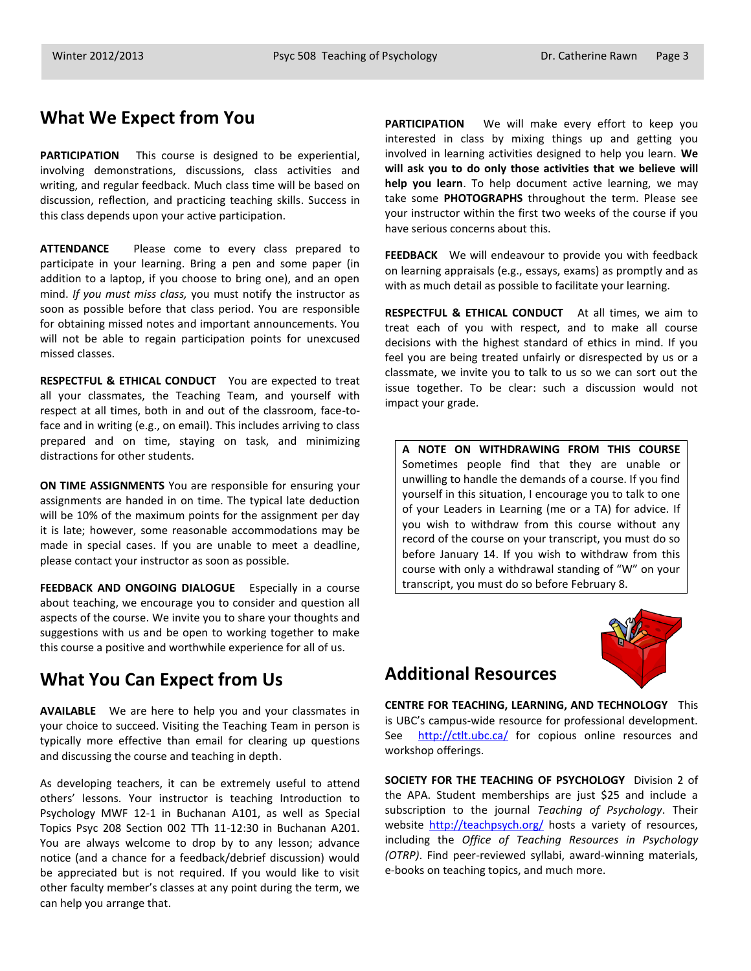### **What We Expect from You**

**PARTICIPATION** This course is designed to be experiential, involving demonstrations, discussions, class activities and writing, and regular feedback. Much class time will be based on discussion, reflection, and practicing teaching skills. Success in this class depends upon your active participation.

**ATTENDANCE** Please come to every class prepared to participate in your learning. Bring a pen and some paper (in addition to a laptop, if you choose to bring one), and an open mind. *If you must miss class,* you must notify the instructor as soon as possible before that class period. You are responsible for obtaining missed notes and important announcements. You will not be able to regain participation points for unexcused missed classes.

**RESPECTFUL & ETHICAL CONDUCT** You are expected to treat all your classmates, the Teaching Team, and yourself with respect at all times, both in and out of the classroom, face-toface and in writing (e.g., on email). This includes arriving to class prepared and on time, staying on task, and minimizing distractions for other students.

**ON TIME ASSIGNMENTS** You are responsible for ensuring your assignments are handed in on time. The typical late deduction will be 10% of the maximum points for the assignment per day it is late; however, some reasonable accommodations may be made in special cases. If you are unable to meet a deadline, please contact your instructor as soon as possible.

**FEEDBACK AND ONGOING DIALOGUE** Especially in a course about teaching, we encourage you to consider and question all aspects of the course. We invite you to share your thoughts and suggestions with us and be open to working together to make this course a positive and worthwhile experience for all of us.

# **What You Can Expect from Us**

**AVAILABLE** We are here to help you and your classmates in your choice to succeed. Visiting the Teaching Team in person is typically more effective than email for clearing up questions and discussing the course and teaching in depth.

As developing teachers, it can be extremely useful to attend others' lessons. Your instructor is teaching Introduction to Psychology MWF 12-1 in Buchanan A101, as well as Special Topics Psyc 208 Section 002 TTh 11-12:30 in Buchanan A201. You are always welcome to drop by to any lesson; advance notice (and a chance for a feedback/debrief discussion) would be appreciated but is not required. If you would like to visit other faculty member's classes at any point during the term, we can help you arrange that.

**PARTICIPATION** We will make every effort to keep you interested in class by mixing things up and getting you involved in learning activities designed to help you learn. **We will ask you to do only those activities that we believe will help you learn**. To help document active learning, we may take some **PHOTOGRAPHS** throughout the term. Please see your instructor within the first two weeks of the course if you have serious concerns about this.

**FEEDBACK** We will endeavour to provide you with feedback on learning appraisals (e.g., essays, exams) as promptly and as with as much detail as possible to facilitate your learning.

**RESPECTFUL & ETHICAL CONDUCT** At all times, we aim to treat each of you with respect, and to make all course decisions with the highest standard of ethics in mind. If you feel you are being treated unfairly or disrespected by us or a classmate, we invite you to talk to us so we can sort out the issue together. To be clear: such a discussion would not impact your grade.

**A NOTE ON WITHDRAWING FROM THIS COURSE**  Sometimes people find that they are unable or unwilling to handle the demands of a course. If you find yourself in this situation, I encourage you to talk to one of your Leaders in Learning (me or a TA) for advice. If you wish to withdraw from this course without any record of the course on your transcript, you must do so before January 14. If you wish to withdraw from this course with only a withdrawal standing of "W" on your transcript, you must do so before February 8.



# **Additional Resources**

**CENTRE FOR TEACHING, LEARNING, AND TECHNOLOGY** This is UBC's campus-wide resource for professional development. See <http://ctlt.ubc.ca/> for copious online resources and workshop offerings.

**SOCIETY FOR THE TEACHING OF PSYCHOLOGY** Division 2 of the APA. Student memberships are just \$25 and include a subscription to the journal *Teaching of Psychology*. Their website<http://teachpsych.org/> hosts a variety of resources, including the *Office of Teaching Resources in Psychology (OTRP)*. Find peer-reviewed syllabi, award-winning materials, e-books on teaching topics, and much more.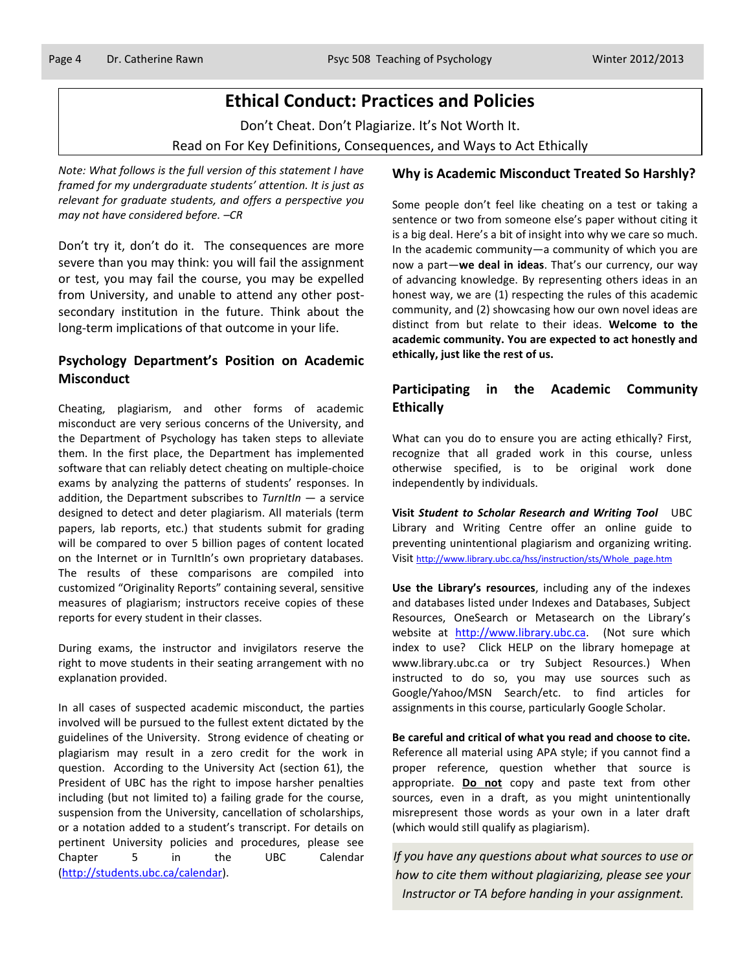# **Ethical Conduct: Practices and Policies**

Don't Cheat. Don't Plagiarize. It's Not Worth It. Read on For Key Definitions, Consequences, and Ways to Act Ethically

*Note: What follows is the full version of this statement I have framed for my undergraduate students' attention. It is just as relevant for graduate students, and offers a perspective you may not have considered before. –CR*

Don't try it, don't do it. The consequences are more severe than you may think: you will fail the assignment or test, you may fail the course, you may be expelled from University, and unable to attend any other postsecondary institution in the future. Think about the long-term implications of that outcome in your life.

### **Psychology Department's Position on Academic Misconduct**

Cheating, plagiarism, and other forms of academic misconduct are very serious concerns of the University, and the Department of Psychology has taken steps to alleviate them. In the first place, the Department has implemented software that can reliably detect cheating on multiple-choice exams by analyzing the patterns of students' responses. In addition, the Department subscribes to *TurnItIn* — a service designed to detect and deter plagiarism. All materials (term papers, lab reports, etc.) that students submit for grading will be compared to over 5 billion pages of content located on the Internet or in TurnItIn's own proprietary databases. The results of these comparisons are compiled into customized "Originality Reports" containing several, sensitive measures of plagiarism; instructors receive copies of these reports for every student in their classes.

During exams, the instructor and invigilators reserve the right to move students in their seating arrangement with no explanation provided.

In all cases of suspected academic misconduct, the parties involved will be pursued to the fullest extent dictated by the guidelines of the University. Strong evidence of cheating or plagiarism may result in a zero credit for the work in question. According to the University Act (section 61), the President of UBC has the right to impose harsher penalties including (but not limited to) a failing grade for the course, suspension from the University, cancellation of scholarships, or a notation added to a student's transcript. For details on pertinent University policies and procedures, please see Chapter 5 in the UBC Calendar [\(http://students.ubc.ca/calendar\)](http://students.ubc.ca/calendar).

### **Why is Academic Misconduct Treated So Harshly?**

Some people don't feel like cheating on a test or taking a sentence or two from someone else's paper without citing it is a big deal. Here's a bit of insight into why we care so much. In the academic community—a community of which you are now a part—**we deal in ideas**. That's our currency, our way of advancing knowledge. By representing others ideas in an honest way, we are (1) respecting the rules of this academic community, and (2) showcasing how our own novel ideas are distinct from but relate to their ideas. **Welcome to the academic community. You are expected to act honestly and ethically, just like the rest of us.**

### **Participating in the Academic Community Ethically**

What can you do to ensure you are acting ethically? First, recognize that all graded work in this course, unless otherwise specified, is to be original work done independently by individuals.

**Visit** *Student to Scholar Research and Writing Tool* UBC Library and Writing Centre offer an online guide to preventing unintentional plagiarism and organizing writing. Visit [http://www.library.ubc.ca/hss/instruction/sts/Whole\\_page.htm](http://www.library.ubc.ca/hss/instruction/sts/Whole_page.htm)

**Use the Library's resources**, including any of the indexes and databases listed under Indexes and Databases, Subject Resources, OneSearch or Metasearch on the Library's website at [http://www.library.ubc.ca.](http://www.library.ubc.ca/) (Not sure which index to use? Click HELP on the library homepage at www.library.ubc.ca or try Subject Resources.) When instructed to do so, you may use sources such as Google/Yahoo/MSN Search/etc. to find articles for assignments in this course, particularly Google Scholar.

**Be careful and critical of what you read and choose to cite.** Reference all material using APA style; if you cannot find a proper reference, question whether that source is appropriate. **Do not** copy and paste text from other sources, even in a draft, as you might unintentionally misrepresent those words as your own in a later draft (which would still qualify as plagiarism).

*If you have any questions about what sources to use or how to cite them without plagiarizing, please see your Instructor or TA before handing in your assignment.*